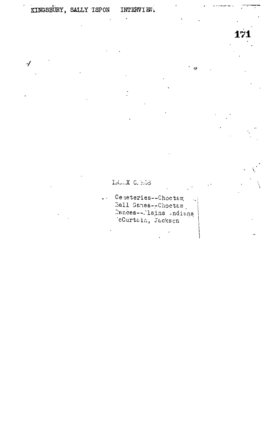$\overline{\mathcal{L}}$ 

**171**

INDEX C. HOS

Ceneteries--Choctaw.  $\sim$ Ball Games--Choctaw 'cCurtain, Jacks en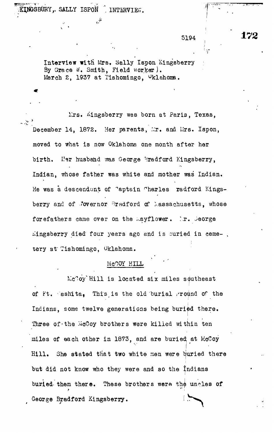$\mathbb{Z}$  ,  $\mathbb{Z}$  ,  $\mathbb{Z}$  ,  $\mathbb{Z}$  ,  $\mathbb{Z}$  ,  $\mathbb{Z}$  ,  $\mathbb{Z}$  ,  $\mathbb{Z}$  ,  $\mathbb{Z}$  ,  $\mathbb{Z}$  ,  $\mathbb{Z}$  ,  $\mathbb{Z}$  ,  $\mathbb{Z}$  ,  $\mathbb{Z}$  ,  $\mathbb{Z}$  ,  $\mathbb{Z}$  ,  $\mathbb{Z}$  ,  $\mathbb{Z}$  ,  $\mathbb{Z}$  ,  $\mathbb{Z}$  , KPJSBURY,, SALLY ISPOft . INTERVIEW.

5194

Interview witfi Mrs, Sally Ispon Kingsberry By Grace W. Smith, Field worker). March 2, 1937 at Tishomingo, Oklahoma.

Lrs. Aingsberry was born at Paris, Texas, December 14, 1872. Her parents, Mr. and Mrs. Ispon, moved to what is now Oklahoma one month after her birth. Her husband was George Bradford Kingsberry, Indian, whose father was white and mother was Indian. He was a descendant of "aptain "harles radford Kingsberry and of Jovernor Bradford of Massachusetts, whose forefathers came over on the Layflower. Ir. Jeorge  $k$ ingsberry died four years ago and is ouried in ceme-, tery at' Tishomingo, Oklahoma.

#### McOOY KILL

McToy Hill is located six miles southeast of Ft. eshita, This is the old burial round of the Indians, some twelve generations being buried there. Three of the McCoy brothers were killed within ten miles of each other in 1873, and are buried at McCoy Hill. She stated that two white men were buried there but did not know who they were and so the Indians buried them there. These brothers were the uncles of  $\ddot{r}$  and  $\ddot{r}$  are these areas in the state  $\ddot{r}$ George Bradford Kingsberry.

**172**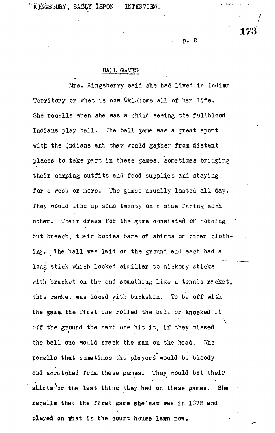**p. 2**

**173**

#### **BALL GAMES**

Mrs. Klngsberry said she had lived in Indian Territory or what is now Oklahoma all of her life. She reoalls when she was a child seeing the fullblood Indians play ball. The ball game was a great sport with the Indians and they would gather from distant places to take part in these games, sometimes bringing their camping outfits and food supplies and staying for a week or more. The games usually lasted all day. They would line up some twenty on a side facing each other. Their dress for the game consisted of nothing but breeah, t air bodies bare of shirts or other clothing. The ball was laid 6n the ground and-each had a long stick which looked similiar to hickory sticks with bracket on the end something like a tennis racket, this racket was laced with buckskin. To be off with the game, the first one rolled the ball or knocked it off the ground the next one hit it, if they missed the ball one would' crack the man on the head. She recalls that sometimes the players would be bloody and scratched from these games. They would bet their shirts or the last thing they had on these games. She recalls that the first game she saw was in 1878 and played on what is the court house lawn now.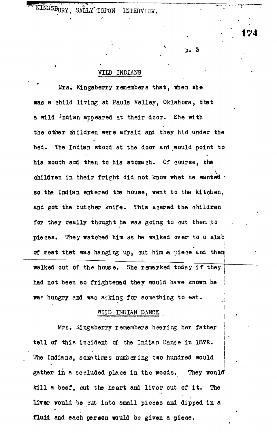KINGSBURY, SALLY'ISPON INTERVIEW.

p . 3

**174**

### WILD INDIANS

Mrs. Kingaberry remembers that, when she was a child living at Pauls Valley, Oklahoma, that a wild Indian appeared at their door. She with the other children were afraid and they hid under the bed. The Indian stood at the door and would point to his mouth and then to his stomach. Of course, the children in their fright did not know what he wanted · so the Indian entered the house, went to the kitchen, and got the butcher knife. This soared the children for they really thought he was going to cut them to pieces. They watched him as he walked over to a slab **i** of meat that was hanging up, cut him a piece and then walked out of the house. She remarked today if they had not been so frightened they would have known he was hungry and was asking for something to eat.

### WILD INDIAN DANCE

Mrs. Kingsberry remembers hearing her father tell of this incident of the Indian Dance in 1872. The Indians, sometimes numbering two hundred would gather in a secluded place in the woods. They would' kill a beef, cut the heart and liver out of it. The liver would be cut into small pieces and dipped in a fluid and each person would be given a piece.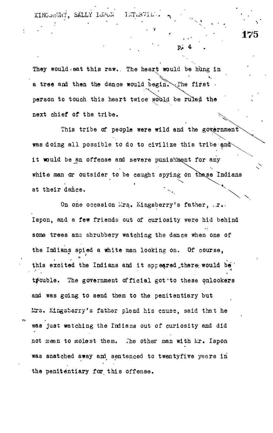KINGONUHY, SALLY ISPON INTERVI

**7**

p,

**175**

They would eat this raw.. The heart would be hung in a tree and then the dance would begin. The first person to touch this heart twice would be ruled the next chief of the tribe.

This tribe of people were wild and the government was doing all possible to do to civilize this tribe and it would be an offense and severe punishkent for any white man or outsider to be caught spying on these Indians at their dance.

On one occasion Mrs. Kingsberry's father, .r. Ispon, and a few friends out of curiosity were hid behind some trees ana shrubbery watching the dance when one of the Indians spied a white man looking on. Of course, this excited the Indians and it appeared there would be trouble. The government official got to these onlookers and was going to send them to the penitentiary but Urs. Kingsberry's father plead his cause, said that he was just watching the Indians out of curiosity and did not mean to molest them. The other man with kr. Ispon was snatched away ani sentenced to twentyfive years in the penitentiary for. this offense.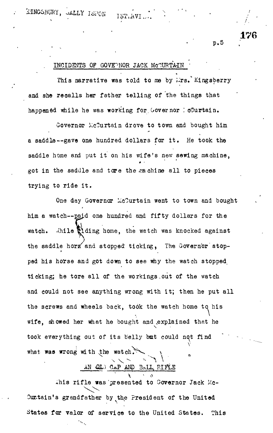# $K$ INGSBURY, JALLY ISPON

P.5

**176**

## INCIDENTS OF GOVEPNOR JACK MCCURTAIN

This narrative was told to me by *irs.* Kingsberry and she recalls her father telling of the things that happened while he was working for Governor : oCurtain.

Governor McCurtain drove to town and bought him a saddle—gave one hundred dollars for it . He took the saddle home and put it on his wife's new sewing machine, *\* •* got in the saddle and tore the machine all to pieces trying to ride it .

One day Governor McCurtain went to town and bought him a watch--paid one hundred and fifty dollars for the watch. .ihile tiding home, the watch was knocked against the saddle horm and stopped ticking, The Governor stopped his horse and got down to see why the watch stopped, ticking; he tore all of the workings out of the watch and could not see anything wrong with it; then he put all the screws and wheels back, took the watch home to his wife, showed her what he bought and .explained that he took everything out of its belly but could not find what was wrong with the watch. AN QL) CAP AND BALL RIFTS

This rifle was presented to Governor Jack Mc-Curtain's grandfather by the President of the United States for valor of service to the United States. This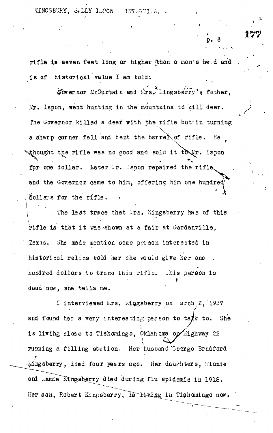p . 6

**• .***-.* **v**

rifl e is seven feet long or higher,.;than a man's he^d and . is of historical value I am told;

governor McOurtain and lirs^I.ingsberry's father, *itx.* Ispon, went hunting in the mountains to kil l deer. The Governor killed a deef with the rifl e but turning  $\mathcal{L}$ a sharp corner fell and bent the barreir  $\sim$  $t^*$  the rifl e was no good and  $\epsilon$ for one dollar. Later '..r. Ispon repaired the rifle , and the Governor came to him, offering him one hundred 'dollars for the rifle .

The last trace that *kxs.* Kingsberry has of this rifle is that it was shown at a fair at Gardanville, .Zex'is. She made mention some person interested in historical relics told her she would give her one hundred dollars to trace this rifle. This person is dead now, she tells me.

I interviewed Ars. Aingsberry on arch 2, 1937 and found her a very interesting person to talk to. She is living close to Tishomingo, Oklahoma op highway 22 running a filling station. Her husband "George Bradford Mngsberry, died four years ago. Her daughters, Minnie and Mamie Kingsberry died during flu epidemic in 1918. Her son, Robert Kingsberry, is living in Tishomingo now.